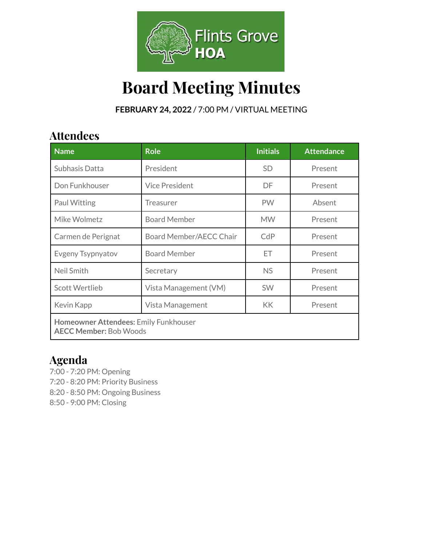

# **Board Meeting Minutes**

**FEBRUARY 24, 2022** / 7:00 PM / VIRTUAL MEETING

# **Attendees**

| <b>Name</b>                                                            | <b>Role</b>             | <b>Initials</b> | <b>Attendance</b> |  |
|------------------------------------------------------------------------|-------------------------|-----------------|-------------------|--|
| Subhasis Datta                                                         | President               | SD.             | Present           |  |
| Don Funkhouser                                                         | <b>Vice President</b>   | DF.             | Present           |  |
| Paul Witting                                                           | Treasurer               | <b>PW</b>       | Absent            |  |
| Mike Wolmetz                                                           | <b>Board Member</b>     | <b>MW</b>       | Present           |  |
| Carmen de Perignat                                                     | Board Member/AECC Chair | CdP             | Present           |  |
| Evgeny Tsypnyatov                                                      | <b>Board Member</b>     | ET              | Present           |  |
| Neil Smith                                                             | Secretary               | <b>NS</b>       | Present           |  |
| <b>Scott Wertlieb</b>                                                  | Vista Management (VM)   | <b>SW</b>       | Present           |  |
| Kevin Kapp                                                             | Vista Management        | KK.             | Present           |  |
| Homeowner Attendees: Emily Funkhouser<br><b>AECC Member: Bob Woods</b> |                         |                 |                   |  |

# **Agenda**

- 7:00 7:20 PM: Opening
- 7:20 8:20 PM: Priority Business
- 8:20 8:50 PM: Ongoing Business
- 8:50 9:00 PM: Closing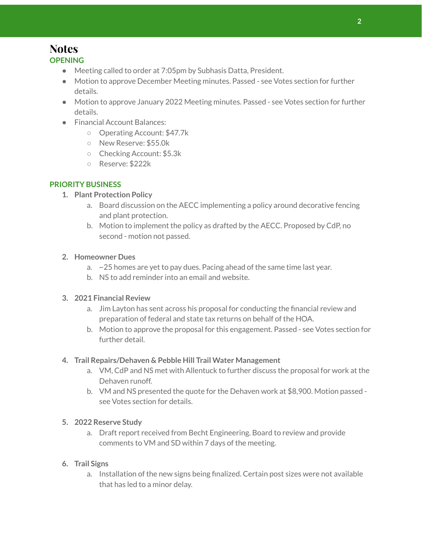# **Notes**

**OPENING**

- Meeting called to order at 7:05pm by Subhasis Datta, President.
- Motion to approve December Meeting minutes. Passed see Votes section for further details.
- Motion to approve January 2022 Meeting minutes. Passed see Votes section for further details.
- Financial Account Balances:
	- Operating Account: \$47.7k
	- New Reserve: \$55.0k
	- Checking Account: \$5.3k
	- Reserve: \$222k

### **PRIORITY BUSINESS**

- **1. Plant Protection Policy**
	- a. Board discussion on the AECC implementing a policy around decorative fencing and plant protection.
	- b. Motion to implement the policy as drafted by the AECC. Proposed by CdP, no second - motion not passed.

### **2. Homeowner Dues**

- a.  $\sim$  25 homes are yet to pay dues. Pacing ahead of the same time last year.
- b. NS to add reminder into an email and website.

#### **3. 2021 Financial Review**

- a. Jim Layton has sent across his proposal for conducting the financial review and preparation of federal and state tax returns on behalf of the HOA.
- b. Motion to approve the proposal for this engagement. Passed see Votes section for further detail.

### **4. Trail Repairs/Dehaven & Pebble Hill Trail Water Management**

- a. VM, CdP and NS met with Allentuck to further discuss the proposal for work at the Dehaven runoff.
- b. VM and NS presented the quote for the Dehaven work at \$8,900. Motion passed see Votes section for details.

### **5. 2022 Reserve Study**

a. Draft report received from Becht Engineering. Board to review and provide comments to VM and SD within 7 days of the meeting.

### **6. Trail Signs**

a. Installation of the new signs being finalized. Certain post sizes were not available that has led to a minor delay.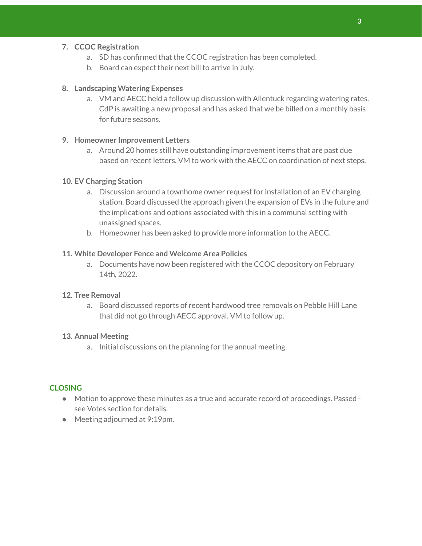#### **7. CCOC Registration**

- a. SD has confirmed that the CCOC registration has been completed.
- b. Board can expect their next bill to arrive in July.

#### **8. Landscaping Watering Expenses**

a. VM and AECC held a follow up discussion with Allentuck regarding watering rates. CdP is awaiting a new proposal and has asked that we be billed on a monthly basis for future seasons.

#### **9. Homeowner Improvement Letters**

a. Around 20 homes still have outstanding improvement items that are past due based on recent letters. VM to work with the AECC on coordination of next steps.

#### **10. EV Charging Station**

- a. Discussion around a townhome owner request for installation of an EV charging station. Board discussed the approach given the expansion of EVs in the future and the implications and options associated with this in a communal setting with unassigned spaces.
- b. Homeowner has been asked to provide more information to the AECC.

#### **11. White Developer Fence and Welcome Area Policies**

a. Documents have now been registered with the CCOC depository on February 14th, 2022.

#### **12. Tree Removal**

a. Board discussed reports of recent hardwood tree removals on Pebble Hill Lane that did not go through AECC approval. VM to follow up.

#### **13. Annual Meeting**

a. Initial discussions on the planning for the annual meeting.

#### **CLOSING**

- Motion to approve these minutes as a true and accurate record of proceedings. Passed see Votes section for details.
- Meeting adjourned at 9:19pm.